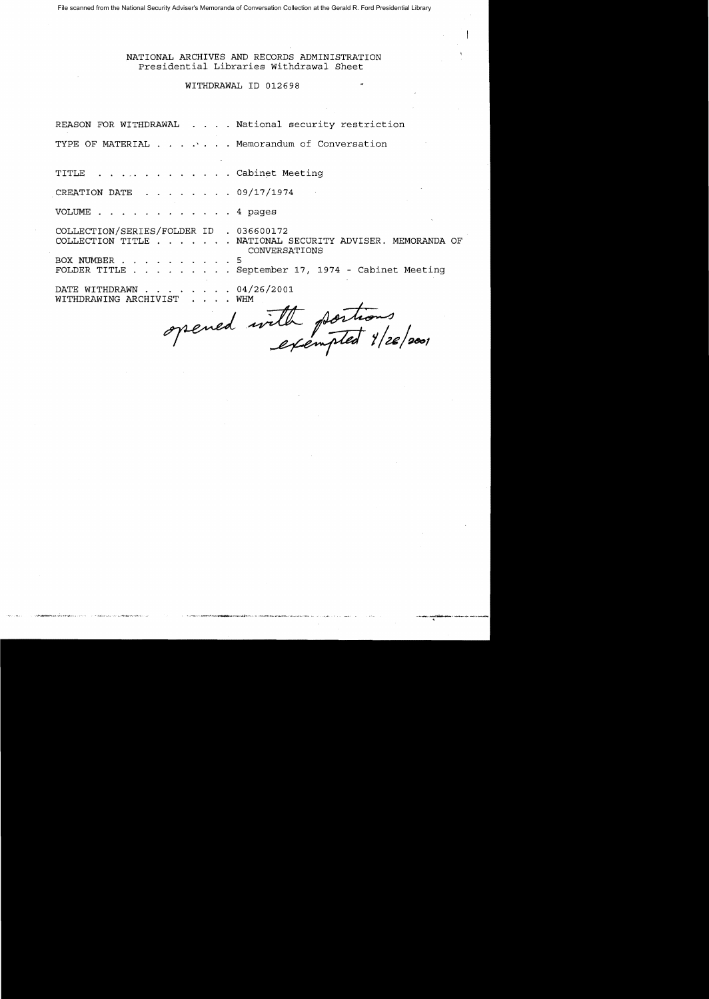File scanned from the National Security Adviser's Memoranda of Conversation Collection at the Gerald R. Ford Presidential Library

## NATIONAL ARCHIVES AND RECORDS ADMINISTRATION Presidential Libraries Withdrawal Sheet

## WITHDRAWAL ID 012698

REASON FOR WITHDRAWAL . . . . National security restriction

TYPE OF MATERIAL . . . . . Memorandum of Conversation

TITLE . . . . . . . . . . . . Cabinet Meeting CREATION DATE 09/17/1974 VOLUME .  $\ldots$  4 pages COLLECTION/SERIES/FOLDER ID 036600172 COLLECTION TITLE . . . . . . NATIONAL SECURITY ADVISER. MEMORANDA OF CONVERSATIONS BOX NUMBER 5 FOLDER TITLE ... September 17, 1974 - Cabinet Meeting DATE WITHDRAWN . . .  $04/26/2001$ WITHDRAWING ARCHIVIST  $. 1. WHM$ 

opened with portions<br>exempted 1/26/2001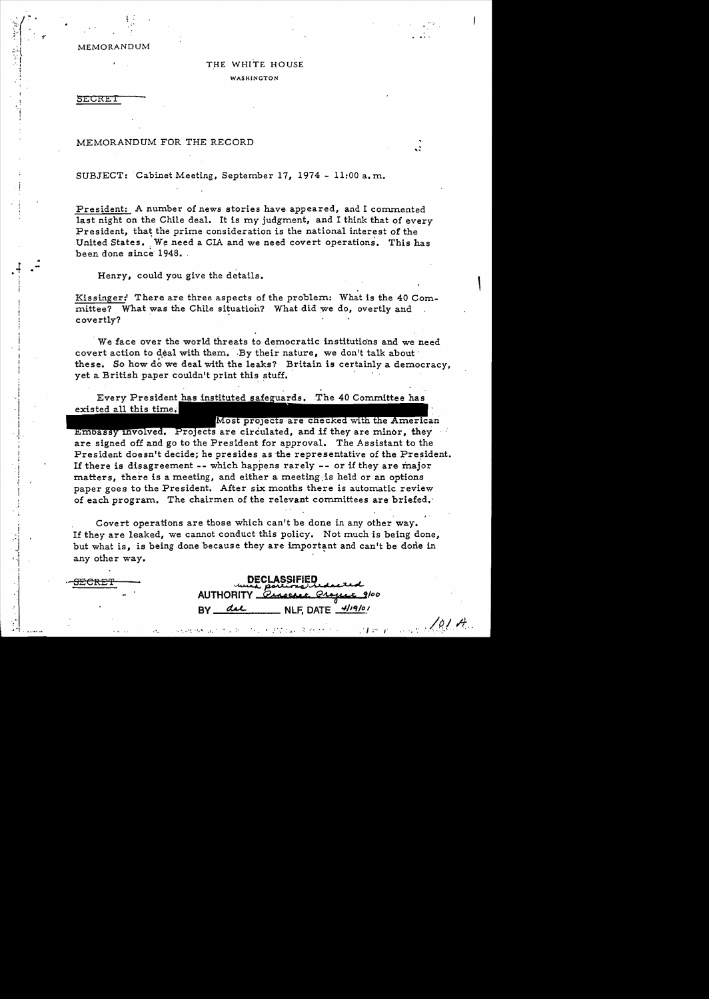MEMORANDUM

! :

# THE WHITE HOUSE WASHINGTON

**SECRET** 

.. -

## MEMORANDUM FOR THE RECORD

SUBJECT: Cabinet Meeting, September 17, 1974 - 11:00 a.m.

President: A number of news stories have appeared, and I commented last night on the Chile deal. It is my judgment, and I think that of every President, that the prime consideration is the national interest of the United States. We need a CIA and we need covert operations. This has been done since 1948.

,-

 $\overline{a}$ 

*:.Iq.l /t..* 

 $T \approx T$ 

Henry, could you give the details.

Kissinger:' There are three aspects of the problem: What is the 40 Committee? What was the Chile situation? What did we do, overtly and covertly?

. We face over the world threats to democratic institutions and we need covert action to deal with them. By their nature, we don't talk about these. So how do we deal with the leaks? Britain is certainly a democracy, yet a British paper couldn't print this stuff.

Every President has instituted safeguards. The 40 Committee has existed all this

Most projects are checked with the American Embassy involved. Projects are circulated, and if they are minor, they are signed off and go to the President for approval. The Assistant to the President doesn't decide; he presides as the representative of the President. If there is disagreement -- which happens rarely - or if they are major matters, there is a meeting, and either a meeting.is held or an options paper goes to the President. After six months there is automatic review of each program. The chairmen of the relevant committees are briefed.

Covert operations are those which can't be done in any other way. If they are leaked, we cannot conduct this policy. Not much is being done, but what is, is being done because they are important and can't be done in any other way.

SECRE'f . ~c~~. **J,. c** x. ",\_ **AUTHORITY** BY *del* NLF, DATE  $\frac{4/19/0}{1}$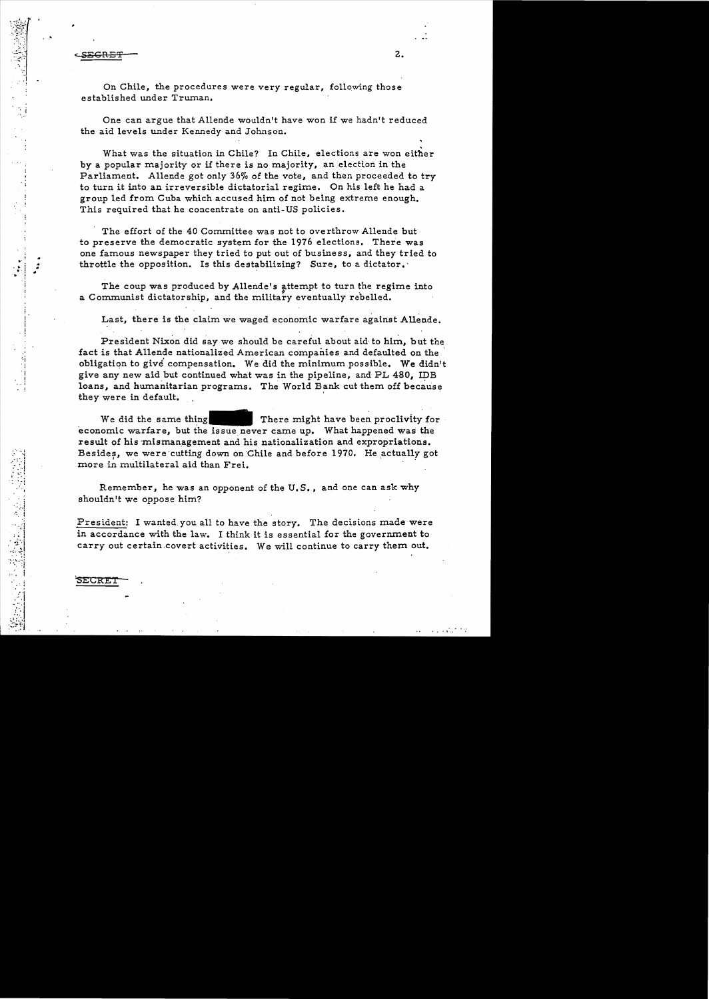c<u>SECRET 2.</u>

On Chile, the procedures were very regular, following those established under Trwnan.

One can argue that Allende wouldn't have won if we hadn't reduced the aid levels under Kennedy and Johnson.

What was the situation in Chile? In Chile, elections are won either by a popular majority or if there is no majority, an election in the Parliament. Allende got only 36% of the vote, and then proceeded to try to turn it into an irreversible dictatorial regime. On his left he had a group led from Cuba which accused him of not being extreme enough. This required that he concentrate on anti-US policies.

The effort of the 40 Committee was not to overthrow Allende but to preserve the democratic system for the 1976 elections. There was one famous newspaper they tried to put out of business, and they tried to throttle the opposition. Is this destabilizing? Sure, to a dictator.

The coup was produced by Allende's attempt to turn the regime into a Communist dictatorship, and the military eventually rebelled.

Last, there is the claim we waged economic warfare against Allende.

President Nixon did say we should be careful about aid to him, but the fact is that Allende nationalized American companies and defaulted on the' obligation to give' compensation. We did the minimum possible. We didn't give any new aid but continued what was in the pipeline, and PL 480, IDB loans, and humanitarian programs. The World Bank cut them off because they were in default.

We did the same thing  $\blacksquare$  There might have been proclivity for economic warfare, but the issue never came up. What happened was the result of his mismanagement and his nationalization and expropriations. Besides, we were cutting down on Chile and before 1970. He actually got more in multilateral aid than Frei.

Remember, he was an opponent of the U.S., and one can ask why shouldn't we oppose him?

President: I wanted. you all to have the story. The decisions made were in accordance with the law. I think it is essential for the government to carry out certain.covert activities. We will continue to carry them out.

**SECRET** 

, ,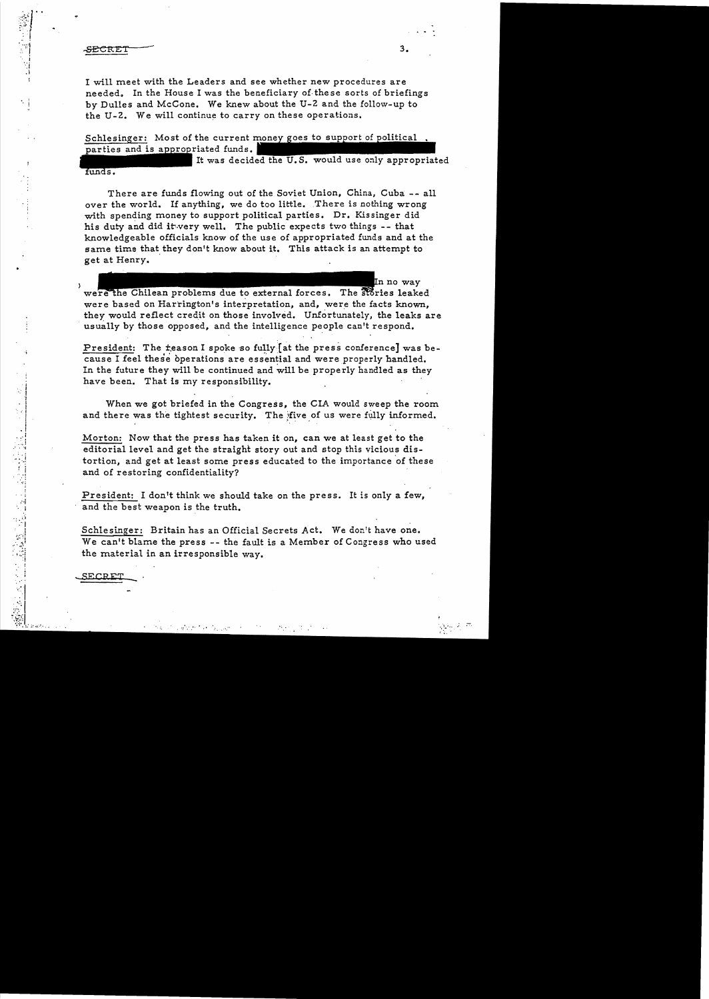#### **SECRET**

 $\ddot{\phantom{a}}$ 

I will meet with the Leaders and see whether new procedures are needed. In the House I was the beneficiary of these sorts of briefings by Dulles and McCone. We knew about the U-2 and the follow-up to the U-2. We will continue to carryon these operations.

Schlesinger: Most of the current money goes to support of political parties and is appropriated funds.

It was decided the U.S. would use only appropriated funds.

There are funds flowing out of the Soviet Union, China, Cuba -- all over the world. If anything, we do too little. There is nothing wrong with spending money to support political parties. Dr. Kissinger did his duty and did it very well. The public expects two things  $-$ - that knowledgeable officials know of the use of appropriated funds and at the same time that they don't know about it. This attack is an attempt to get at Henry.

In no way were the Chilean problems due to external forces. The stories leaked were based on Harrington's interpretation, and, were the facts known, they would reflect credit on those involved. Unfortunately, the leaks are usually by those opposed, and the intelligence people can't respond.

President: The reason I spoke so fully  $[at the press conference]$  was because I feel these operations are essential and were properly handled. In the future they will be continued and will be properly handled as they have been. That is my responsibility.

When we got briefed in the Congress, the CIA would sweep the room and there was the tightest security. The five of us were fully informed.

Morton: Now that the press has taken it on, can we at least get to the editorial level and get the straight story out and stop this vicious distortion, and get at least some press educated to the importance of these and of restoring confidentiality?

President: I don't think we should take on the press. It is only a few, and the best weapon is the truth.

Schlesinger: Britain has an Official Secrets Act. We don't have one. We can't blame the press -- the fault is a Member of Congress who used the material in an irresponsible way.

,F.C.R $\bf{F}$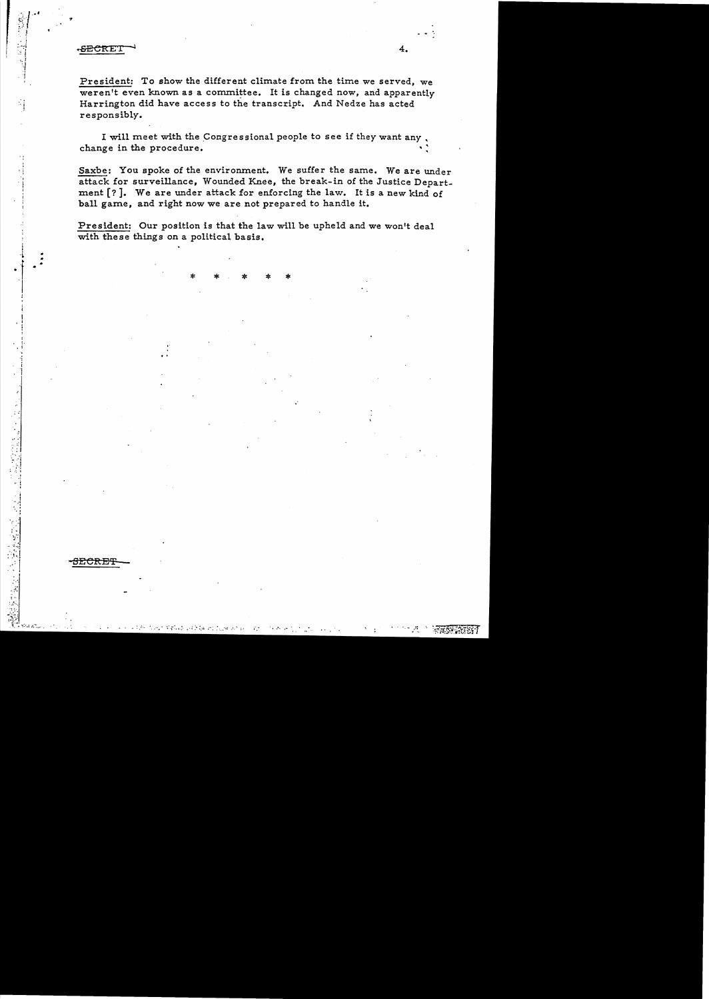### **SECRET**

<del>JECRET</del>

President: To show the different climate from the time we served, we weren't even known as a committee. It is changed now, and apparently Harrington did have access to the transcript. And Nedze has acted responsibly.

I will meet with the Congressional people to see if they want any. change in the procedure.

Saxbe: You spoke of the environment. We suffer the same. We are under attack for surveillance, Wounded Knee, the break-in of the Justice Department [?]. We are under attack for enforcing the law. It is a new kind of ball game, and right now we are not prepared to handle it.

President: Our position is that the law will be upheld and we won't deal with these things on a political basis.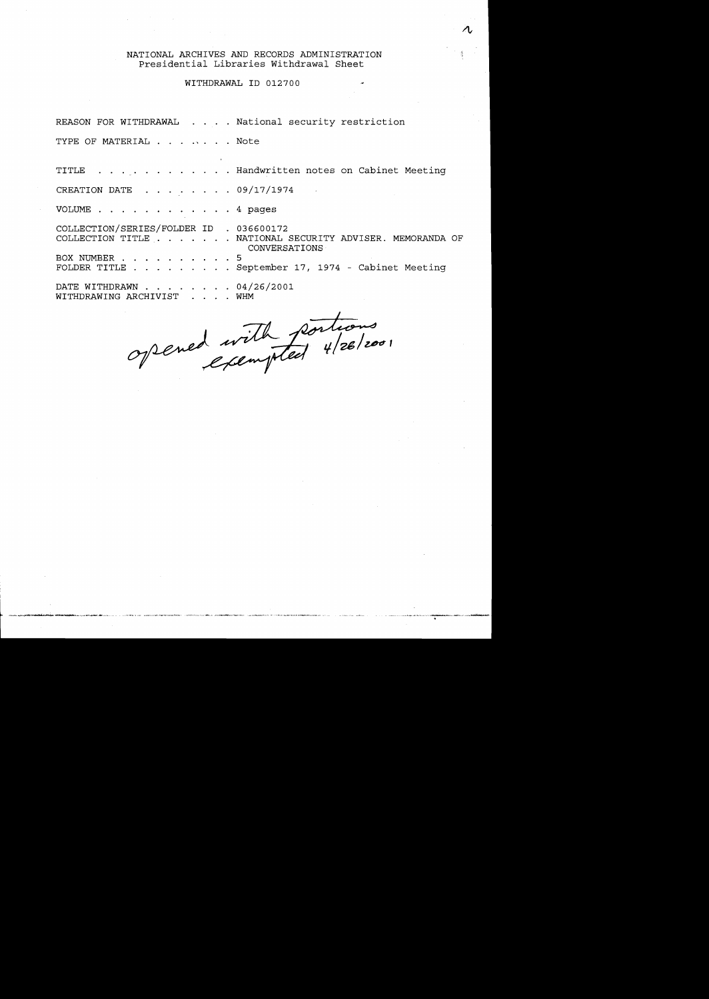## NATIONAL ARCHIVES AND RECORDS ADMINISTRATION Presidential Libraries Withdrawal Sheet

## WITHDRAWAL ID 012700

REASON FOR WITHDRAWAL . . . . National security restriction

TYPE OF MATERIAL . . . . . . . Note

TITLE Handwritten notes on Cabinet Meeting

CREATION DATE 09/17/1974

VOLUME . 4 pages

COLLECTION/SERIES/FOLDER ID 036600172 COLLECTION TITLE . . . . . . NATIONAL SECURITY ADVISER. MEMORANDA OF BOX NUMBER 5 FOLDER TITLE . . . . . . . . September 17, 1974 - Cabinet Meeting DATE WITHDRAWN 04/26/2001 WITHDRAWING ARCHIVIST . . . . WHM CONVERSATIONS

opened with portions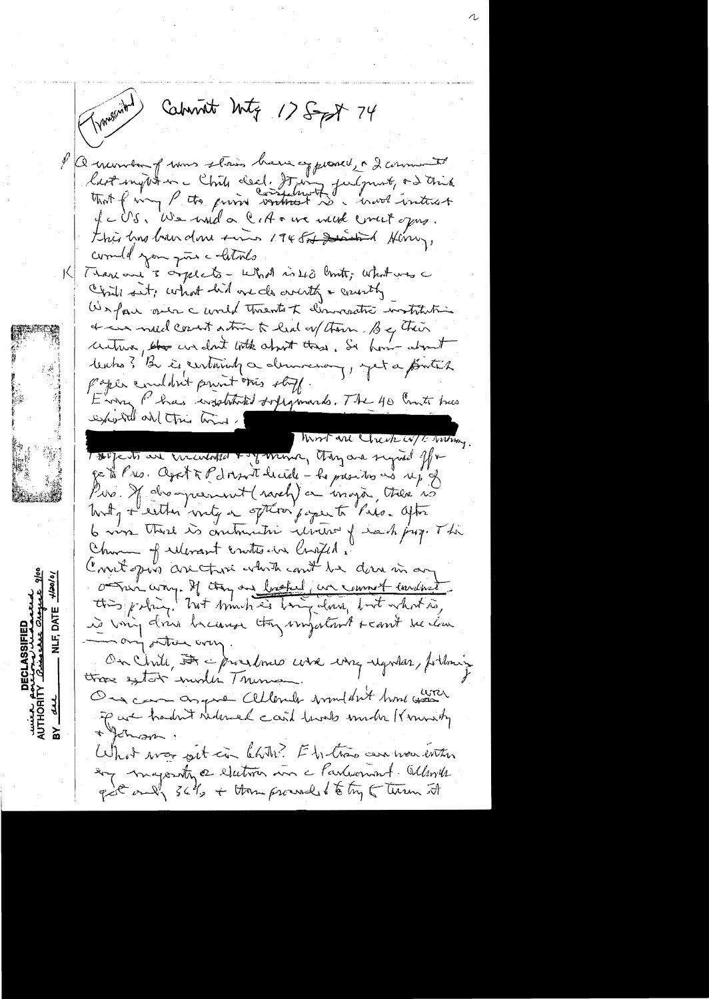( Windown) Cabinet Mitz 175 pt 74 PQ number of was stain have approved, a 2 comments liest ingut en c'hil deal. It ing futgunt, + 2 trich IcUS. We will a CIA + we were creer opres. this this boundare sino 1945 and Him, commell you give colations  $|\lambda|$ There are 3 orgelets - What is 40 limits; what was a Child sit; what hid one do wonth a country We fair aver c world Thrents to dimovatic watchiting & in med court action to had any them . But their untur, the wedn't loth about these. So how about tentos? Be is certainly a democracy, yet a protect paper condant point this stoff. Error, Phas wishthated supponents. The 40 Country has exposite all this time. Work are week w/ E virting. Touje to are incubiled + y money they are signed for get Pres. Aget & Pdorsont height - he presides no up of Pie Mairoquement (savely) or images, there is Writing + eather writing on often poper to Pars. after 6 vive third is contractive winter of each juz. The Church of relevant crutes aux Congel . Court pour are those which could be done in any Omnivers de la company de la commet envelopet is voing doing because they important reant we low min ony other was On Chile, A aproximes use una regular, fortuning those extert involte Thema One can as give Cellender wouldn't him was of are hadn't reduced card lands made Kmonishy + Johnson. 盃 What was get in Chite? Et the the case were enter try majority of electron was a Parliament Website got only 36%, + them proved to try to turn it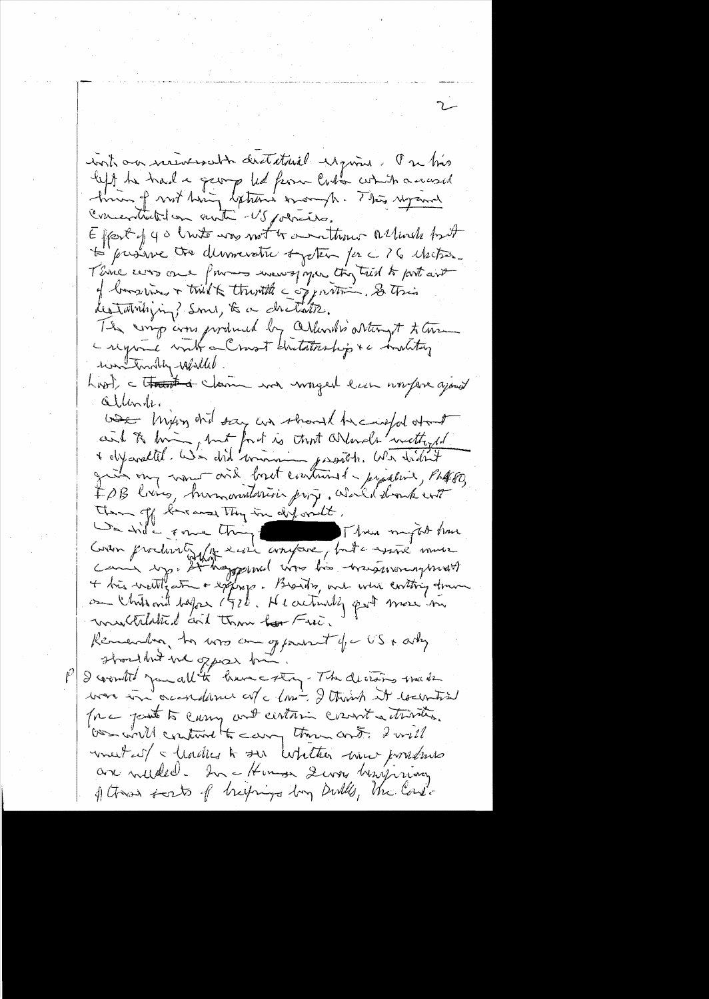contro nueves abordataril require la matio left te trad a george led from laston contra accessed Correctation ante -US policio. Effect of you limits was not to another allowed but D'arsiere des democraties system par 26 etabres. Think was one for monographing this trial to port and of languing + tried & therethe copportion. So this destationlying? Smi, to a childre. The sings cons produced by Orlends's orten of the a regione with a Crost distationhip &c inditing her trinkly-while hast, a tratat a claim and wonged lun worfare ayout Gilberte we longing ond say an should be composed of and to bring but fort is that armode wettiged IPB loins, humanitaries projectionalent Them of the way they in diformally, De dide some thing the Three mytob have Gran production de 2002 avantaire, but a sand more multilated and them for Free. Remember, to was an opportunit of a US + asky I countr' you all the have cotting - The decisions weaken was in accordance of a love, I think it counties force past to carry and centuries count activities. Our will continue to carry them and. I will meet at a hadres to see whether were possible are welled. In a Hommer Server herrioty of these sents of brushings by Dulls, the Cordi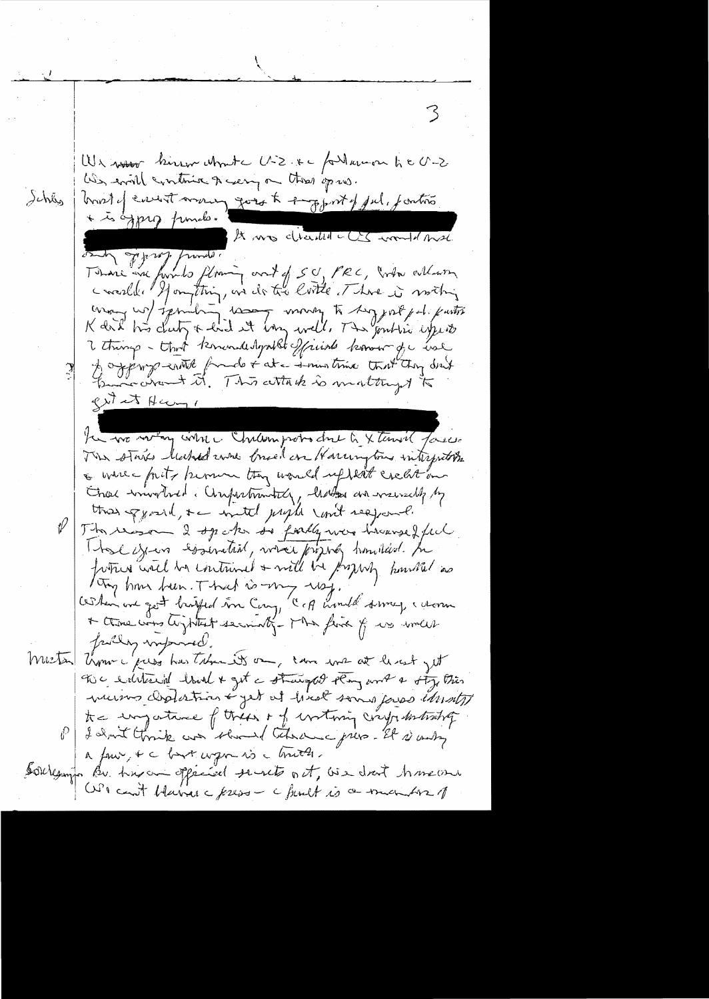We were kinew when U-2. x - for themon to U-2 We will continue & carry on these op us. houst envent money goes to empfort of jul, jantino dehiy + is oppig funds. A mos circum- es an antigation A mos charled LCS would me K dal his chetz & hid it long well. The fontie experts 2 things - that knowledgable friends known for use A approprentit foud & at a smoothing that they don't gest et Hermy, the wo warm while Chilemprobo due to X tensil faces. The stars leaked was bruid on Harrington interpreto the a whice faits known they would up with creation Enser windthed a Compartmenticy, hatta and warrachy by the grand, the with people cont respond. The reason 2 spoke se failly were treanged ful That error essential, where priging hunders. In fortun will be contained & will be progress housed as Try home been. That is my resign !<br>When we get bright in Cong, C of would some , women failing imported. Mestan Umme pass has Taban its on, can we at least get The evilenced hold & get a stranged stony and a sty this muins cliptation & get at hiret some paras étunts tre impatine of these of intimiz crypalestration I don't think was should there gress. It is andy a four, & c but wom is a bruth. sourcempo Bu hns an oppened sent out, we don't have one We can't blaires c freeze - c funct is a much ber 1